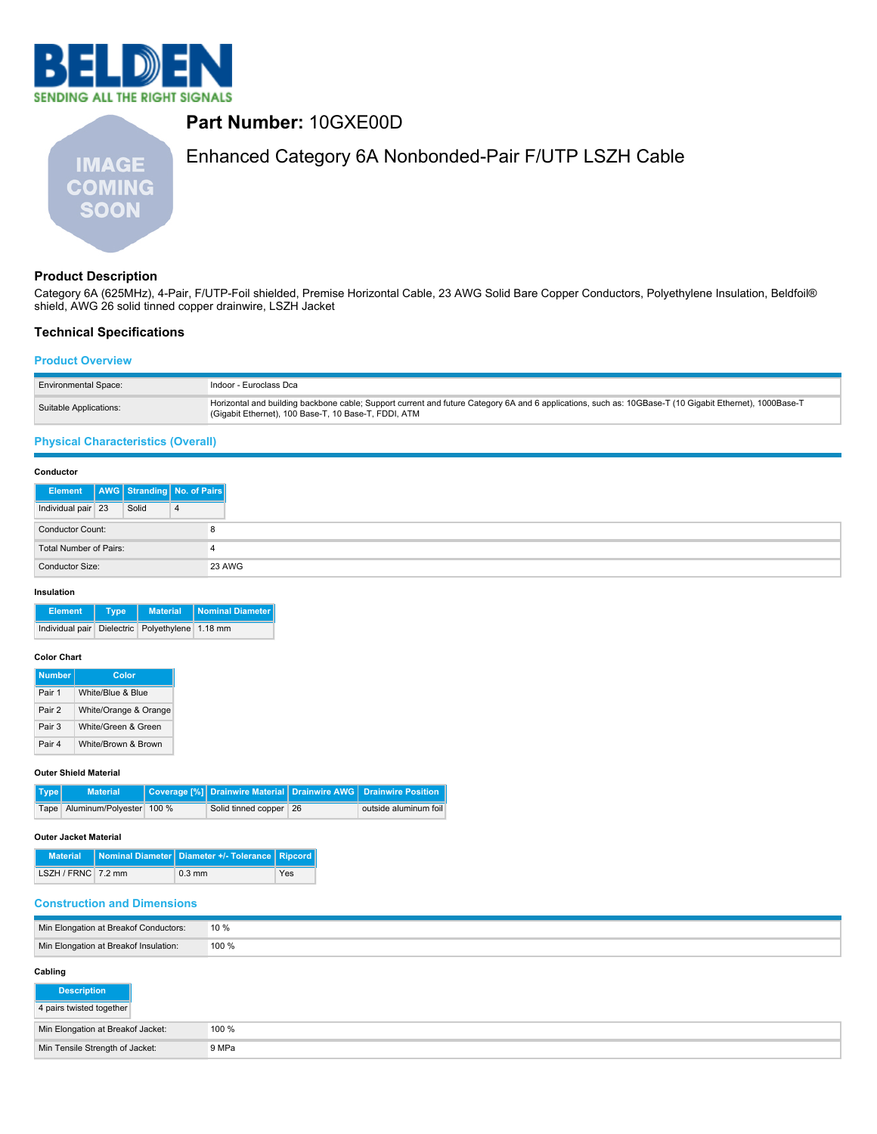



# **Product Description**

Category 6A (625MHz), 4-Pair, F/UTP-Foil shielded, Premise Horizontal Cable, 23 AWG Solid Bare Copper Conductors, Polyethylene Insulation, Beldfoil® shield, AWG 26 solid tinned copper drainwire, LSZH Jacket

### **Technical Specifications**

#### **Product Overview**

| <b>Environmental Space:</b> | Indoor - Euroclass Dca                                                                                                                                                                                          |
|-----------------------------|-----------------------------------------------------------------------------------------------------------------------------------------------------------------------------------------------------------------|
| Suitable Applications:      | Horizontal and building backbone cable; Support current and future Category 6A and 6 applications, such as: 10GBase-T (10 Gigabit Ethernet), 1000Base-T<br>(Gigabit Ethernet), 100 Base-T, 10 Base-T, FDDI, ATM |

## **Physical Characteristics (Overall)**

| Conductor                              |  |       |   |
|----------------------------------------|--|-------|---|
| Element   AWG Stranding   No. of Pairs |  |       |   |
| Individual pair 23                     |  | Solid | 4 |
| <b>Conductor Count:</b>                |  |       | 8 |
| Total Number of Pairs:<br>4            |  |       |   |
| 23 AWG<br>Conductor Size:              |  |       |   |

#### **Insulation**

| <b>Element</b>                                  | Tvpe | Material   Nominal Diameter |
|-------------------------------------------------|------|-----------------------------|
| Individual pair Dielectric Polyethylene 1.18 mm |      |                             |

#### **Color Chart**

| <b>Number</b> | Color                 |
|---------------|-----------------------|
| Pair 1        | White/Blue & Blue     |
| Pair 2        | White/Orange & Orange |
| Pair 3        | White/Green & Green   |
| Pair 4        | White/Brown & Brown   |

## **Outer Shield Material**

| Type | <b>Material</b>               |  |                        | Coverage [%] Drainwire Material Drainwire AWG Drainwire Position |  |
|------|-------------------------------|--|------------------------|------------------------------------------------------------------|--|
|      | Tape Aluminum/Polyester 100 % |  | Solid tinned copper 26 | outside aluminum foil                                            |  |

#### **Outer Jacket Material**

|                    | Material   Nominal Diameter   Diameter +/- Tolerance   Ripcord |     |
|--------------------|----------------------------------------------------------------|-----|
| LSZH / FRNC 7.2 mm | $0.3 \text{ mm}$                                               | Yes |

#### **Construction and Dimensions**

| Min Elongation at Breakof Conductors: | 10 %  |
|---------------------------------------|-------|
| Min Elongation at Breakof Insulation: | 100 % |

## **Cabling**

| <b>Description</b>                |       |
|-----------------------------------|-------|
| 4 pairs twisted together          |       |
| Min Elongation at Breakof Jacket: | 100 % |
| Min Tensile Strength of Jacket:   | 9 MPa |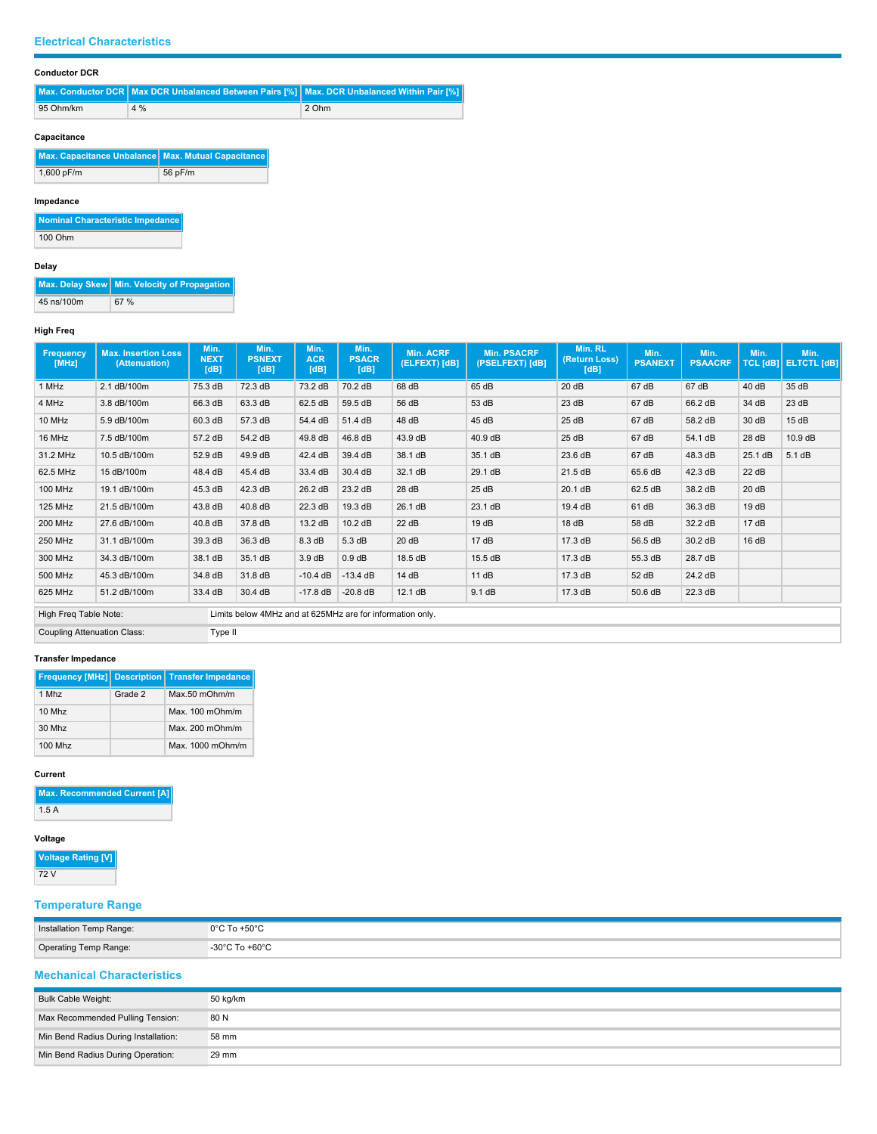### **Electrical Characteristics**

### **Conductor DCR**

**Max. Conductor DCR Max DCR Unbalanced Between Pairs [%] Max. DCR Unbalanced Within Pair [%] 95 Ohm/km 4 % 2 Ohm** 

## **Capacitance**

| Max. Capacitance Unbalance Max. Mutual Capacitance |         |
|----------------------------------------------------|---------|
| 1,600 pF/m                                         | 56 pF/m |

## **Impedance**

**Nominal Characteristic Impedance** 100 Ohm

## **Delay**

**Max. Delay Skew** Min. Velocity of Propagation 45 ns/100m 67 %

## **High Freq**

| Frequency<br>[MHz]                     | <b>Max. Insertion Loss</b><br>(Attenuation) | Min.<br><b>NEXT</b><br>[dB] | Min.<br><b>PSNEXT</b><br>[dB]                             | Min.<br><b>ACR</b><br>[dB] | Min.<br><b>PSACR</b><br>[dB] | <b>Min. ACRF</b><br>(ELFEXT) [dB] | <b>Min. PSACRF</b><br>(PSELFEXT) [dB] | Min. RL<br>(Return Loss)<br>[dB] | Min.<br><b>PSANEXT</b> | Min.<br><b>PSAACRF</b> | Min.    | Min.<br>TCL [dB]   ELTCTL [dB] |
|----------------------------------------|---------------------------------------------|-----------------------------|-----------------------------------------------------------|----------------------------|------------------------------|-----------------------------------|---------------------------------------|----------------------------------|------------------------|------------------------|---------|--------------------------------|
| 1 MHz                                  | 2.1 dB/100m                                 | 75.3 dB                     | 72.3 dB                                                   | 73.2 dB                    | 70.2 dB                      | 68 dB                             | 65 dB                                 | 20dB                             | 67 dB                  | 67 dB                  | 40 dB   | 35 dB                          |
| 4 MHz                                  | 3.8 dB/100m                                 | 66.3 dB                     | 63.3 dB                                                   | 62.5 dB                    | 59.5 dB                      | 56 dB                             | 53 dB                                 | 23 dB                            | 67 dB                  | 66.2 dB                | 34 dB   | 23 dB                          |
| 10 MHz                                 | 5.9 dB/100m                                 | 60.3 dB                     | 57.3 dB                                                   | 54.4 dB                    | 51.4 dB                      | 48 dB                             | 45 dB                                 | 25 dB                            | 67 dB                  | 58.2 dB                | 30 dB   | 15dB                           |
| 16 MHz                                 | 7.5 dB/100m                                 | 57.2 dB                     | 54.2 dB                                                   | 49.8 dB                    | 46.8 dB                      | 43.9 dB                           | 40.9 dB                               | 25 dB                            | 67 dB                  | 54.1 dB                | 28 dB   | 10.9 dB                        |
| 31.2 MHz                               | 10.5 dB/100m                                | 52.9 dB                     | 49.9 dB                                                   | 42.4 dB                    | 39.4 dB                      | 38.1 dB                           | 35.1 dB                               | 23.6 dB                          | 67 dB                  | 48.3 dB                | 25.1 dB | 5.1 dB                         |
| 62.5 MHz                               | 15 dB/100m                                  | 48.4 dB                     | 45.4 dB                                                   | 33.4 dB                    | 30.4 dB                      | 32.1 dB                           | 29.1 dB                               | 21.5 dB                          | 65.6 dB                | 42.3 dB                | 22 dB   |                                |
| <b>100 MHz</b>                         | 19.1 dB/100m                                | 45.3 dB                     | 42.3 dB                                                   | 26.2 dB                    | 23.2 dB                      | 28 dB                             | 25 dB                                 | 20.1 dB                          | 62.5 dB                | 38.2 dB                | 20 dB   |                                |
| <b>125 MHz</b>                         | 21.5 dB/100m                                | 43.8 dB                     | 40.8 dB                                                   | 22.3 dB                    | 19.3 dB                      | 26.1 dB                           | 23.1 dB                               | 19.4 dB                          | 61 dB                  | 36.3 dB                | 19dB    |                                |
| <b>200 MHz</b>                         | 27.6 dB/100m                                | 40.8 dB                     | 37.8 dB                                                   | 13.2 dB                    | 10.2 dB                      | 22 dB                             | 19dB                                  | 18dB                             | 58 dB                  | 32.2 dB                | 17dB    |                                |
| <b>250 MHz</b>                         | 31.1 dB/100m                                | 39.3 dB                     | 36.3 dB                                                   | 8.3 dB                     | 5.3 dB                       | 20 dB                             | 17dB                                  | 17.3 dB                          | 56.5 dB                | 30.2 dB                | 16dB    |                                |
| 300 MHz                                | 34.3 dB/100m                                | 38.1 dB                     | 35.1 dB                                                   | 3.9dB                      | 0.9 dB                       | 18.5 dB                           | 15.5 dB                               | 17.3 dB                          | 55.3 dB                | 28.7 dB                |         |                                |
| 500 MHz                                | 45.3 dB/100m                                | 34.8 dB                     | 31.8 dB                                                   | $-10.4$ dB                 | $-13.4$ dB                   | 14 dB                             | 11 dB                                 | 17.3 dB                          | 52 dB                  | 24.2 dB                |         |                                |
| 625 MHz                                | 51.2 dB/100m                                | 33.4 dB                     | 30.4 dB                                                   | $-17.8$ dB                 | $-20.8$ dB                   | 12.1 dB                           | 9.1 dB                                | 17.3 dB                          | 50.6 dB                | 22.3 dB                |         |                                |
| High Freq Table Note:                  |                                             |                             | Limits below 4MHz and at 625MHz are for information only. |                            |                              |                                   |                                       |                                  |                        |                        |         |                                |
| Coupling Attenuation Class:<br>Type II |                                             |                             |                                                           |                            |                              |                                   |                                       |                                  |                        |                        |         |                                |

### **Transfer Impedance**

|         |         | <b>Frequency [MHz] Description   Transfer Impedance</b> |
|---------|---------|---------------------------------------------------------|
| 1 Mhz   | Grade 2 | $Max.50$ m $Ohm/m$                                      |
| 10 Mhz  |         | Max. $100 \text{ mOhm/m}$                               |
| 30 Mhz  |         | $Max$ 200 m $Ohm/m$                                     |
| 100 Mhz |         | Max. $1000$ mOhm/m                                      |

#### **Current**

**Max. Recommended Current [A]** 1.5 A

#### **Voltage**

**Voltage Rating [V]** 72 V

# **Temperature Range**

| Installation Temp Range: | $0^{\circ}$ C To +50 $^{\circ}$ C<br>.  |
|--------------------------|-----------------------------------------|
| Operating Temp Range:    | $-30^{\circ}$ C To $+60^{\circ}$ C<br>. |

## **Mechanical Characteristics**

| <b>Bulk Cable Weight:</b>            | 50 kg/km |
|--------------------------------------|----------|
| Max Recommended Pulling Tension:     | 80 N     |
| Min Bend Radius During Installation: | 58 mm    |
| Min Bend Radius During Operation:    | 29 mm    |